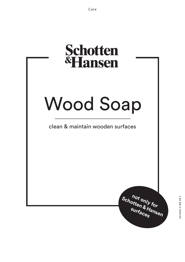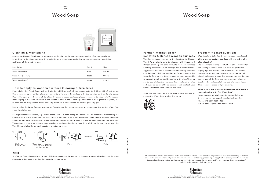05/2021 C WS DE 7

 $\circ$ 

 $\overline{a}$  $\frac{2}{3}$ 

Care 2/4

## Wood Soap Wood Soap

Schotten & Hansen GmbH, August-Moralt-Straße 1-3, 86971 Peiting, T +49 8861 908 04-0, kontakt@schotten-hansen.com, www.schotten-hansen.com



| Description        | Art. Nr. | Yield    |
|--------------------|----------|----------|
| Wood Soap (Small)  | 30640    | 300 ml   |
| Wood Soap (Medium) | 30636    | 1 Litres |
| Wood Soap (Large)  | 30644    | 5 Litres |

Schotten & Hansen Wood Soap is a concentrate for the regular maintenance cleaning of wooden surfaces. In addition to the cleaning effect, its special formula contains natural oils that help to enhance the original resilience of the wood surface.

## Cleaning & Maintaining

#### **What to do if stains cannot be removed after maintenance cleaning with The Wood Soap?**

In such cases, we advise you to contact Schotten & Hansen's service department for further advice.

Phone: +49 8861 90804 152

**Why are some parts of the floor still marked or dirty after cleaning?**  We recommend wiping the stubborn stains more often and letting the water soak in a little longer before wiping again to absorb the dirty water. This should improve or remedy the situation. Never use partial abrasive cleaners or scouring pads, as this can damage the surface of the floor and remove colour pigments that have been elaborately worked into the surface. This can cause areas of light staining. Wooden surfaces treated with Schotten & Hansen Wood Polish should only be cleaned with Schotten & Hansen cleaning and care products. You can purchase cleaning accessories such as mops and buckets from us. Aggressive, alkaline or solvent-based cleaning products can damage polish on wooden surfaces. Remove dirt from the floor or furniture surfaces as soon as possible to prevent staining. Avoid cleaning with microfibres or partial use of cleaning sponges. Remove standing water and puddles as quickly as possible and protect your wooden surfaces from constant moisture.

E-mail: service@schotten-hansen.com

#### Frequently asked questions:

(Applicable to Schotten & Hansen wooden surfaces)

Scan the QR code with your smartphone camera to access the Wood Soap application video:



#### Further information for Schotten & Hansen wooden surfaces

First, shake the Wood Soap well and add 30 millilitres (ml) of the concentrate to 2 Litres (L) of hot water. Use a cotton mop or cotton cloth (not microfibre) to wipe the surface with the solution until uniformly damp. Due to the open-pored nature of Schotten & Hansen wooden surfaces, please make sure to wipe wet. We recommend wiping it a second time with a damp cloth to absorb the remaining dirty water. If more gloss is required, the surface can be dry-polished with a polishing machine, a cotton cloth, or a white polishing pad.

Before using the Wood Soap on wooden surfaces from other manufacturers, we recommend testing the effect first on an invisible area.

For highly-frequented areas, e.g. public areas such as a hotel lobby or a sales area, we recommend increasing the concentration of the Wood Soap (approx. 100ml Wood Soap to 5L of hot water) and cleaning with a polishing machine (white pad, sisal brush) once a week. Observe a drying time of at least 2 hours between cleaning and polishing. These steps make the surface even more resistant to dirt and moisture over time. With regular and correct use, the Wood Soap retains the original beauty of wooden surfaces.

### How to apply to wooden surfaces (flooring & furniture)



All information on this data sheet is to be considered as advice and is based on empirical investigations according to today's state of the art. Therefore, all provided information on the suitability, processing and application of our products, as well as technical advice and further particulars, do explicitly not release the customer and/or user from verifying the products' suitability by means of their own tests.

1L of Wood Soap cleans approx. 400m². This figure may vary depending on the condition and absorbency of the wooden surface. For heavier soiling, increase the concentration.



### Yield